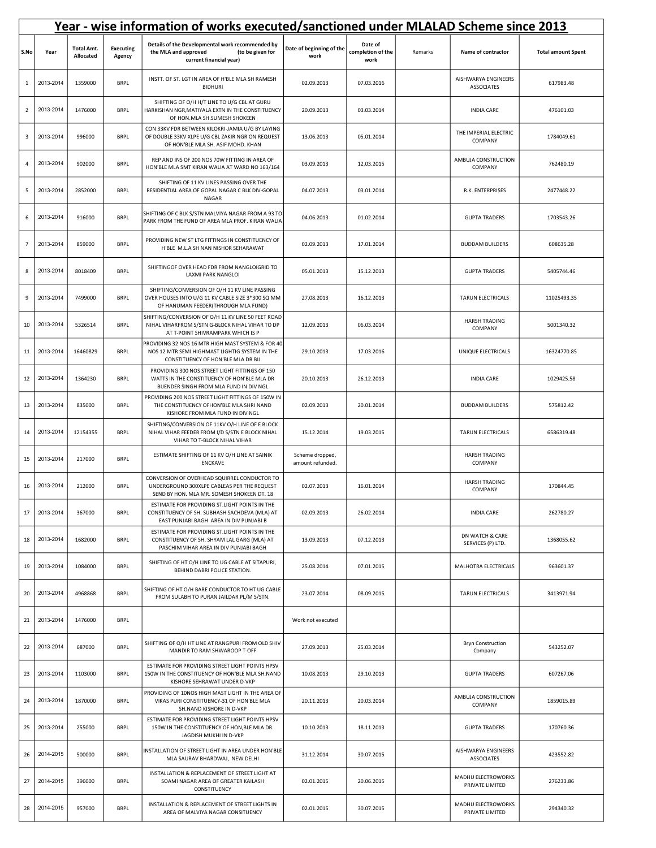|                 | Year - wise information of works executed/sanctioned under MLALAD Scheme since 2013 |                                |                            |                                                                                                                                            |                                     |                                      |         |                                          |                           |  |  |
|-----------------|-------------------------------------------------------------------------------------|--------------------------------|----------------------------|--------------------------------------------------------------------------------------------------------------------------------------------|-------------------------------------|--------------------------------------|---------|------------------------------------------|---------------------------|--|--|
| S.No            | Year                                                                                | <b>Total Amt.</b><br>Allocated | <b>Executing</b><br>Agency | Details of the Developmental work recommended by<br>the MLA and approved<br>(to be given for<br>current financial year)                    | Date of beginning of the<br>work    | Date of<br>completion of the<br>work | Remarks | Name of contractor                       | <b>Total amount Spent</b> |  |  |
| 1               | 2013-2014                                                                           | 1359000                        | <b>BRPL</b>                | INSTT. OF ST. LGT IN AREA OF H'BLE MLA SH RAMESH<br><b>BIDHURI</b>                                                                         | 02.09.2013                          | 07.03.2016                           |         | AISHWARYA ENGINEERS<br><b>ASSOCIATES</b> | 617983.48                 |  |  |
| $\overline{2}$  | 2013-2014                                                                           | 1476000                        | <b>BRPL</b>                | SHIFTING OF O/H H/T LINE TO U/G CBL AT GURU<br>HARKISHAN NGR, MATIYALA EXTN IN THE CONSTITUENCY<br>OF HON.MLA SH.SUMESH SHOKEEN            | 20.09.2013                          | 03.03.2014                           |         | <b>INDIA CARE</b>                        | 476101.03                 |  |  |
| 3               | 2013-2014                                                                           | 996000                         | <b>BRPL</b>                | CON 33KV FDR BETWEEN KILOKRI-JAMIA U/G BY LAYING<br>OF DOUBLE 33KV XLPE U/G CBL ZAKIR NGR ON REQUEST<br>OF HON'BLE MLA SH. ASIF MOHD. KHAN | 13.06.2013                          | 05.01.2014                           |         | THE IMPERIAL ELECTRIC<br>COMPANY         | 1784049.61                |  |  |
| 4               | 2013-2014                                                                           | 902000                         | <b>BRPL</b>                | REP AND INS OF 200 NOS 70W FITTING IN AREA OF<br>HON'BLE MLA SMT KIRAN WALIA AT WARD NO 163/164                                            | 03.09.2013                          | 12.03.2015                           |         | AMBUJA CONSTRUCTION<br>COMPANY           | 762480.19                 |  |  |
| 5               | 2013-2014                                                                           | 2852000                        | <b>BRPL</b>                | SHIFTING OF 11 KV LINES PASSING OVER THE<br>RESIDENTIAL AREA OF GOPAL NAGAR C BLK DIV-GOPAL<br>NAGAR                                       | 04.07.2013                          | 03.01.2014                           |         | R.K. ENTERPRISES                         | 2477448.22                |  |  |
| 6               | 2013-2014                                                                           | 916000                         | <b>BRPL</b>                | SHIFTING OF C BLK S/STN MALVIYA NAGAR FROM A 93 TO<br>PARK FROM THE FUND OF AREA MLA PROF. KIRAN WALIA                                     | 04.06.2013                          | 01.02.2014                           |         | <b>GUPTA TRADERS</b>                     | 1703543.26                |  |  |
| $7\overline{ }$ | 2013-2014                                                                           | 859000                         | <b>BRPL</b>                | PROVIDING NEW ST LTG FITTINGS IN CONSTITUENCY OF<br>H'BLE M.L.A SH NAN NISHOR SEHARAWAT                                                    | 02.09.2013                          | 17.01.2014                           |         | <b>BUDDAM BUILDERS</b>                   | 608635.28                 |  |  |
| 8               | 2013-2014                                                                           | 8018409                        | <b>BRPL</b>                | SHIFTINGOF OVER HEAD FDR FROM NANGLOIGRID TO<br>LAXMI PARK NANGLOI                                                                         | 05.01.2013                          | 15.12.2013                           |         | <b>GUPTA TRADERS</b>                     | 5405744.46                |  |  |
| 9               | 2013-2014                                                                           | 7499000                        | <b>BRPL</b>                | SHIFTING/CONVERSION OF O/H 11 KV LINE PASSING<br>OVER HOUSES INTO U/G 11 KV CABLE SIZE 3*300 SQ MM<br>OF HANUMAN FEEDER(THROUGH MLA FUND)  | 27.08.2013                          | 16.12.2013                           |         | TARUN ELECTRICALS                        | 11025493.35               |  |  |
| 10              | 2013-2014                                                                           | 5326514                        | <b>BRPL</b>                | SHIFTING/CONVERSION OF O/H 11 KV LINE 50 FEET ROAD<br>NIHAL VIHARFROM S/STN G-BLOCK NIHAL VIHAR TO DP<br>AT T-POINT SHIVRAMPARK WHICH IS P | 12.09.2013                          | 06.03.2014                           |         | <b>HARSH TRADING</b><br>COMPANY          | 5001340.32                |  |  |
| 11              | 2013-2014                                                                           | 16460829                       | <b>BRPL</b>                | PROVIDING 32 NOS 16 MTR HIGH MAST SYSTEM & FOR 40<br>NOS 12 MTR SEMI HIGHMAST LIGHTIG SYSTEM IN THE<br>CONSTITUENCY OF HON'BLE MLA DR BIJ  | 29.10.2013                          | 17.03.2016                           |         | UNIQUE ELECTRICALS                       | 16324770.85               |  |  |
| 12              | 2013-2014                                                                           | 1364230                        | <b>BRPL</b>                | PROVIDING 300 NOS STREET LIGHT FITTINGS OF 150<br>WATTS IN THE CONSTITUENCY OF HON'BLE MLA DR<br>BIJENDER SINGH FROM MLA FUND IN DIV NGL   | 20.10.2013                          | 26.12.2013                           |         | <b>INDIA CARE</b>                        | 1029425.58                |  |  |
| 13              | 2013-2014                                                                           | 835000                         | <b>BRPL</b>                | PROVIDING 200 NOS STREET LIGHT FITTINGS OF 150W IN<br>THE CONSTITUENCY OFHON'BLE MLA SHRI NAND<br>KISHORE FROM MLA FUND IN DIV NGL         | 02.09.2013                          | 20.01.2014                           |         | <b>BUDDAM BUILDERS</b>                   | 575812.42                 |  |  |
| 14              | 2013-2014                                                                           | 12154355                       | <b>BRPL</b>                | SHIFTING/CONVERSION OF 11KV O/H LINE OF E BLOCK<br>NIHAL VIHAR FEEDER FROM I/D S/STN E BLOCK NIHAL<br>VIHAR TO T-BLOCK NIHAL VIHAR         | 15.12.2014                          | 19.03.2015                           |         | TARUN ELECTRICALS                        | 6586319.48                |  |  |
| 15              | 2013-2014                                                                           | 217000                         | <b>BRPL</b>                | ESTIMATE SHIFTING OF 11 KV O/H LINE AT SAINIK<br><b>ENCKAVE</b>                                                                            | Scheme dropped,<br>amount refunded. |                                      |         | <b>HARSH TRADING</b><br>COMPANY          |                           |  |  |
| 16              | 2013-2014                                                                           | 212000                         | <b>BRPL</b>                | CONVERSION OF OVERHEAD SQUIRREL CONDUCTOR TO<br>UNDERGROUND 300XLPE CABLEAS PER THE REQUEST<br>SEND BY HON. MLA MR. SOMESH SHOKEEN DT. 18  | 02.07.2013                          | 16.01.2014                           |         | <b>HARSH TRADING</b><br>COMPANY          | 170844.45                 |  |  |
| 17              | 2013-2014                                                                           | 367000                         | <b>BRPL</b>                | ESTIMATE FOR PROVIDING ST.LIGHT POINTS IN THE<br>CONSTITUENCY OF SH. SUBHASH SACHDEVA (MLA) AT<br>EAST PUNJABI BAGH AREA IN DIV PUNJABI B  | 02.09.2013                          | 26.02.2014                           |         | <b>INDIA CARE</b>                        | 262780.27                 |  |  |
| 18              | 2013-2014                                                                           | 1682000                        | <b>BRPL</b>                | ESTIMATE FOR PROVIDING ST.LIGHT POINTS IN THE<br>CONSTITUENCY OF SH. SHYAM LAL GARG (MLA) AT<br>PASCHIM VIHAR AREA IN DIV PUNJABI BAGH     | 13.09.2013                          | 07.12.2013                           |         | DN WATCH & CARE<br>SERVICES (P) LTD.     | 1368055.62                |  |  |
| 19              | 2013-2014                                                                           | 1084000                        | <b>BRPL</b>                | SHIFTING OF HT O/H LINE TO UG CABLE AT SITAPURI,<br>BEHIND DABRI POLICE STATION.                                                           | 25.08.2014                          | 07.01.2015                           |         | MALHOTRA ELECTRICALS                     | 963601.37                 |  |  |
| 20              | 2013-2014                                                                           | 4968868                        | <b>BRPL</b>                | SHIFTING OF HT O/H BARE CONDUCTOR TO HT UG CABLE<br>FROM SULABH TO PURAN JAILDAR PL/M S/STN.                                               | 23.07.2014                          | 08.09.2015                           |         | TARUN ELECTRICALS                        | 3413971.94                |  |  |
| 21              | 2013-2014                                                                           | 1476000                        | <b>BRPL</b>                |                                                                                                                                            | Work not executed                   |                                      |         |                                          |                           |  |  |
| 22              | 2013-2014                                                                           | 687000                         | <b>BRPL</b>                | SHIFTING OF O/H HT LINE AT RANGPURI FROM OLD SHIV<br>MANDIR TO RAM SHWAROOP T-OFF                                                          | 27.09.2013                          | 25.03.2014                           |         | <b>Bryn Construction</b><br>Company      | 543252.07                 |  |  |
| 23              | 2013-2014                                                                           | 1103000                        | <b>BRPL</b>                | ESTIMATE FOR PROVIDING STREET LIGHT POINTS HPSV<br>150W IN THE CONSTITUENCY OF HON'BLE MLA SH.NAND<br>KISHORE SEHRAWAT UNDER D-VKP         | 10.08.2013                          | 29.10.2013                           |         | <b>GUPTA TRADERS</b>                     | 607267.06                 |  |  |
| 24              | 2013-2014                                                                           | 1870000                        | <b>BRPL</b>                | PROVIDING OF 10NOS HIGH MAST LIGHT IN THE AREA OF<br>VIKAS PURI CONSTITUENCY-31 OF HON'BLE MLA<br>SH.NAND KISHORE IN D-VKP                 | 20.11.2013                          | 20.03.2014                           |         | AMBUJA CONSTRUCTION<br>COMPANY           | 1859015.89                |  |  |
| 25              | 2013-2014                                                                           | 255000                         | <b>BRPL</b>                | ESTIMATE FOR PROVIDING STREET LIGHT POINTS HPSV<br>150W IN THE CONSTITUENCY OF HON, BLE MLA DR.<br>JAGDISH MUKHI IN D-VKP                  | 10.10.2013                          | 18.11.2013                           |         | <b>GUPTA TRADERS</b>                     | 170760.36                 |  |  |
| 26              | 2014-2015                                                                           | 500000                         | <b>BRPL</b>                | INSTALLATION OF STREET LIGHT IN AREA UNDER HON'BLE<br>MLA SAURAV BHARDWAJ, NEW DELHI                                                       | 31.12.2014                          | 30.07.2015                           |         | AISHWARYA ENGINEERS<br><b>ASSOCIATES</b> | 423552.82                 |  |  |
| 27              | 2014-2015                                                                           | 396000                         | <b>BRPL</b>                | INSTALLATION & REPLACEMENT OF STREET LIGHT AT<br>SOAMI NAGAR AREA OF GREATER KAILASH<br>CONSTITUENCY                                       | 02.01.2015                          | 20.06.2015                           |         | MADHU ELECTROWORKS<br>PRIVATE LIMITED    | 276233.86                 |  |  |
| 28              | 2014-2015                                                                           | 957000                         | <b>BRPL</b>                | INSTALLATION & REPLACEMENT OF STREET LIGHTS IN<br>AREA OF MALVIYA NAGAR CONSITUENCY                                                        | 02.01.2015                          | 30.07.2015                           |         | MADHU ELECTROWORKS<br>PRIVATE LIMITED    | 294340.32                 |  |  |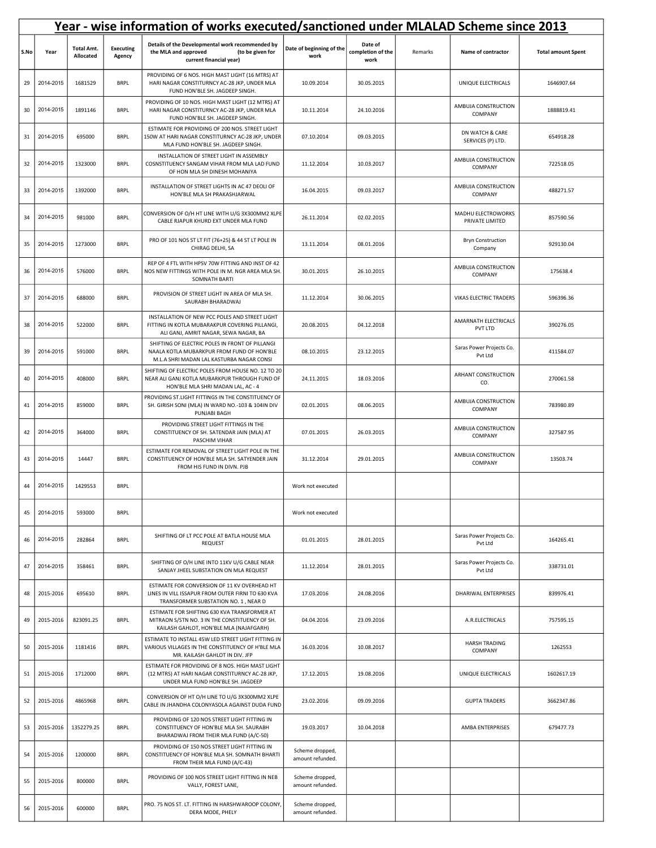|      | Year - wise information of works executed/sanctioned under MLALAD Scheme since 2013 |                                |                            |                                                                                                                                            |                                     |                                      |         |                                       |                           |  |  |
|------|-------------------------------------------------------------------------------------|--------------------------------|----------------------------|--------------------------------------------------------------------------------------------------------------------------------------------|-------------------------------------|--------------------------------------|---------|---------------------------------------|---------------------------|--|--|
| S.No | Year                                                                                | <b>Total Amt.</b><br>Allocated | <b>Executing</b><br>Agency | Details of the Developmental work recommended by<br>(to be given for<br>the MLA and approved<br>current financial year)                    | Date of beginning of the<br>work    | Date of<br>completion of the<br>work | Remarks | Name of contractor                    | <b>Total amount Spent</b> |  |  |
| 29   | 2014-2015                                                                           | 1681529                        | <b>BRPL</b>                | PROVIDING OF 6 NOS. HIGH MAST LIGHT (16 MTRS) AT<br>HARI NAGAR CONSTITURNCY AC-28 JKP, UNDER MLA<br>FUND HON'BLE SH. JAGDEEP SINGH.        | 10.09.2014                          | 30.05.2015                           |         | UNIQUE ELECTRICALS                    | 1646907.64                |  |  |
| 30   | 2014-2015                                                                           | 1891146                        | <b>BRPL</b>                | PROVIDING OF 10 NOS. HIGH MAST LIGHT (12 MTRS) AT<br>HARI NAGAR CONSTITURNCY AC-28 JKP, UNDER MLA<br>FUND HON'BLE SH. JAGDEEP SINGH.       | 10.11.2014                          | 24.10.2016                           |         | AMBUJA CONSTRUCTION<br>COMPANY        | 1888819.41                |  |  |
| 31   | 2014-2015                                                                           | 695000                         | <b>BRPL</b>                | ESTIMATE FOR PROVIDING OF 200 NOS. STREET LIGHT<br>150W AT HARI NAGAR CONSTITURNCY AC-28 JKP, UNDER<br>MLA FUND HON'BLE SH. JAGDEEP SINGH. | 07.10.2014                          | 09.03.2015                           |         | DN WATCH & CARE<br>SERVICES (P) LTD.  | 654918.28                 |  |  |
| 32   | 2014-2015                                                                           | 1323000                        | <b>BRPL</b>                | INSTALLATION OF STREET LIGHT IN ASSEMBLY<br>COSNSTITUENCY SANGAM VIHAR FROM MLA LAD FUND<br>OF HON MLA SH DINESH MOHANIYA                  | 11.12.2014                          | 10.03.2017                           |         | AMBUJA CONSTRUCTION<br>COMPANY        | 722518.05                 |  |  |
| 33   | 2014-2015                                                                           | 1392000                        | <b>BRPL</b>                | INSTALLATION OF STREET LIGHTS IN AC 47 DEOLI OF<br>HON'BLE MLA SH PRAKASHJARWAL                                                            | 16.04.2015                          | 09.03.2017                           |         | AMBUJA CONSTRUCTION<br>COMPANY        | 488271.57                 |  |  |
| 34   | 2014-2015                                                                           | 981000                         | <b>BRPL</b>                | CONVERSION OF O/H HT LINE WITH U/G 3X300MM2 XLPE<br>CABLE RJAPUR KHURD EXT UNDER MLA FUND                                                  | 26.11.2014                          | 02.02.2015                           |         | MADHU ELECTROWORKS<br>PRIVATE LIMITED | 857590.56                 |  |  |
| 35   | 2014-2015                                                                           | 1273000                        | <b>BRPL</b>                | PRO OF 101 NOS ST LT FIT (76+25) & 44 ST LT POLE IN<br>CHIRAG DELHI, SA                                                                    | 13.11.2014                          | 08.01.2016                           |         | <b>Bryn Construction</b><br>Company   | 929130.04                 |  |  |
| 36   | 2014-2015                                                                           | 576000                         | <b>BRPL</b>                | REP OF 4 FTL WITH HPSV 70W FITTING AND INST OF 42<br>NOS NEW FITTINGS WITH POLE IN M. NGR AREA MLA SH<br><b>SOMNATH BARTI</b>              | 30.01.2015                          | 26.10.2015                           |         | AMBUJA CONSTRUCTION<br>COMPANY        | 175638.4                  |  |  |
| 37   | 2014-2015                                                                           | 688000                         | <b>BRPL</b>                | PROVISION OF STREET LIGHT IN AREA OF MLA SH.<br>SAURABH BHARADWAJ                                                                          | 11.12.2014                          | 30.06.2015                           |         | <b>VIKAS ELECTRIC TRADERS</b>         | 596396.36                 |  |  |
| 38   | 2014-2015                                                                           | 522000                         | <b>BRPL</b>                | INSTALLATION OF NEW PCC POLES AND STREET LIGHT<br>FITTING IN KOTLA MUBARAKPUR COVERING PILLANGI,<br>ALI GANJ, AMRIT NAGAR, SEWA NAGAR, BA  | 20.08.2015                          | 04.12.2018                           |         | AMARNATH ELECTRICALS<br>PVT LTD       | 390276.05                 |  |  |
| 39   | 2014-2015                                                                           | 591000                         | <b>BRPL</b>                | SHIFTING OF ELECTRIC POLES IN FRONT OF PILLANGI<br>NAALA KOTLA MUBARKPUR FROM FUND OF HON'BLE<br>M.L.A SHRI MADAN LAL KASTURBA NAGAR CONSI | 08.10.2015                          | 23.12.2015                           |         | Saras Power Projects Co.<br>Pvt Ltd   | 411584.07                 |  |  |
| 40   | 2014-2015                                                                           | 408000                         | <b>BRPL</b>                | SHIFTING OF ELECTRIC POLES FROM HOUSE NO. 12 TO 20<br>NEAR ALI GANJ KOTLA MUBARKPUR THROUGH FUND OF<br>HON'BLE MLA SHRI MADAN LAL, AC - 4  | 24.11.2015                          | 18.03.2016                           |         | ARHANT CONSTRUCTION<br>CO.            | 270061.58                 |  |  |
| 41   | 2014-2015                                                                           | 859000                         | <b>BRPL</b>                | PROVIDING ST.LIGHT FITTINGS IN THE CONSTITUENCY OF<br>SH. GIRISH SONI (MLA) IN WARD NO.-103 & 104IN DIV<br>PUNJABI BAGH                    | 02.01.2015                          | 08.06.2015                           |         | AMBUJA CONSTRUCTION<br>COMPANY        | 783980.89                 |  |  |
| 42   | 2014-2015                                                                           | 364000                         | <b>BRPL</b>                | PROVIDING STREET LIGHT FITTINGS IN THE<br>CONSTITUENCY OF SH. SATENDAR JAIN (MLA) AT<br>PASCHIM VIHAR                                      | 07.01.2015                          | 26.03.2015                           |         | AMBUJA CONSTRUCTION<br>COMPANY        | 327587.95                 |  |  |
| 43   | 2014-2015                                                                           | 14447                          | <b>BRPL</b>                | ESTIMATE FOR REMOVAL OF STREET LIGHT POLE IN THE<br>CONSTITUENCY OF HON'BLE MLA SH. SATYENDER JAIN<br>FROM HIS FUND IN DIVN. PJB           | 31.12.2014                          | 29.01.2015                           |         | AMBUJA CONSTRUCTION<br>COMPANY        | 13503.74                  |  |  |
| 44   | 2014-2015                                                                           | 1429553                        | <b>BRPL</b>                |                                                                                                                                            | Work not executed                   |                                      |         |                                       |                           |  |  |
| 45   | 2014-2015                                                                           | 593000                         | <b>BRPL</b>                |                                                                                                                                            | Work not executed                   |                                      |         |                                       |                           |  |  |
| 46   | 2014-2015                                                                           | 282864                         | <b>BRPL</b>                | SHIFTING OF LT PCC POLE AT BATLA HOUSE MLA<br><b>REQUEST</b>                                                                               | 01.01.2015                          | 28.01.2015                           |         | Saras Power Projects Co.<br>Pvt Ltd   | 164265.41                 |  |  |
| 47   | 2014-2015                                                                           | 358461                         | <b>BRPL</b>                | SHIFTING OF O/H LINE INTO 11KV U/G CABLE NEAR<br>SANJAY JHEEL SUBSTATION ON MLA REQUEST                                                    | 11.12.2014                          | 28.01.2015                           |         | Saras Power Projects Co.<br>Pvt Ltd   | 338731.01                 |  |  |
| 48   | 2015-2016                                                                           | 695610                         | <b>BRPL</b>                | ESTIMATE FOR CONVERSION OF 11 KV OVERHEAD HT<br>LINES IN VILL ISSAPUR FROM OUTER FIRNI TO 630 KVA<br>TRANSFORMER SUBSTATION NO. 1, NEAR D  | 17.03.2016                          | 24.08.2016                           |         | <b>DHARIWAL ENTERPRISES</b>           | 839976.41                 |  |  |
| 49   | 2015-2016                                                                           | 823091.25                      | <b>BRPL</b>                | ESTIMATE FOR SHIFTING 630 KVA TRANSFORMER AT<br>MITRAON S/STN NO. 3 IN THE CONSTITUENCY OF SH.<br>KAILASH GAHLOT, HON'BLE MLA (NAJAFGARH)  | 04.04.2016                          | 23.09.2016                           |         | A.R.ELECTRICALS                       | 757595.15                 |  |  |
| 50   | 2015-2016                                                                           | 1181416                        | <b>BRPL</b>                | ESTIMATE TO INSTALL 45W LED STREET LIGHT FITTING IN<br>VARIOUS VILLAGES IN THE CONSTITUENCY OF H'BLE MLA<br>MR. KAILASH GAHLOT IN DIV. JFP | 16.03.2016                          | 10.08.2017                           |         | <b>HARSH TRADING</b><br>COMPANY       | 1262553                   |  |  |
| 51   | 2015-2016                                                                           | 1712000                        | <b>BRPL</b>                | ESTIMATE FOR PROVIDING OF 8 NOS. HIGH MAST LIGHT<br>(12 MTRS) AT HARI NAGAR CONSTITURNCY AC-28 JKP,<br>UNDER MLA FUND HON'BLE SH. JAGDEEP  | 17.12.2015                          | 19.08.2016                           |         | UNIQUE ELECTRICALS                    | 1602617.19                |  |  |
| 52   | 2015-2016                                                                           | 4865968                        | <b>BRPL</b>                | CONVERSION OF HT O/H LINE TO U/G 3X300MM2 XLPE<br>CABLE IN JHANDHA COLONYASOLA AGAINST DUDA FUND                                           | 23.02.2016                          | 09.09.2016                           |         | <b>GUPTA TRADERS</b>                  | 3662347.86                |  |  |
| 53   | 2015-2016                                                                           | 1352279.25                     | <b>BRPL</b>                | PROVIDING OF 120 NOS STREET LIGHT FITTING IN<br>CONSTITUENCY OF HON'BLE MLA SH. SAURABH<br>BHARADWAJ FROM THEIR MLA FUND (A/C-50)          | 19.03.2017                          | 10.04.2018                           |         | AMBA ENTERPRISES                      | 679477.73                 |  |  |
| 54   | 2015-2016                                                                           | 1200000                        | <b>BRPL</b>                | PROVIDING OF 150 NOS STREET LIGHT FITTING IN<br>CONSTITUENCY OF HON'BLE MLA SH. SOMNATH BHARTI<br>FROM THEIR MLA FUND (A/C-43)             | Scheme dropped,<br>amount refunded. |                                      |         |                                       |                           |  |  |
| 55   | 2015-2016                                                                           | 800000                         | <b>BRPL</b>                | PROVIDING OF 100 NOS STREET LIGHT FITTING IN NEB<br>VALLY, FOREST LANE,                                                                    | Scheme dropped,<br>amount refunded. |                                      |         |                                       |                           |  |  |
| 56   | 2015-2016                                                                           | 600000                         | <b>BRPL</b>                | PRO. 75 NOS ST. LT. FITTING IN HARSHWAROOP COLONY,<br>DERA MODE, PHELY                                                                     | Scheme dropped,<br>amount refunded. |                                      |         |                                       |                           |  |  |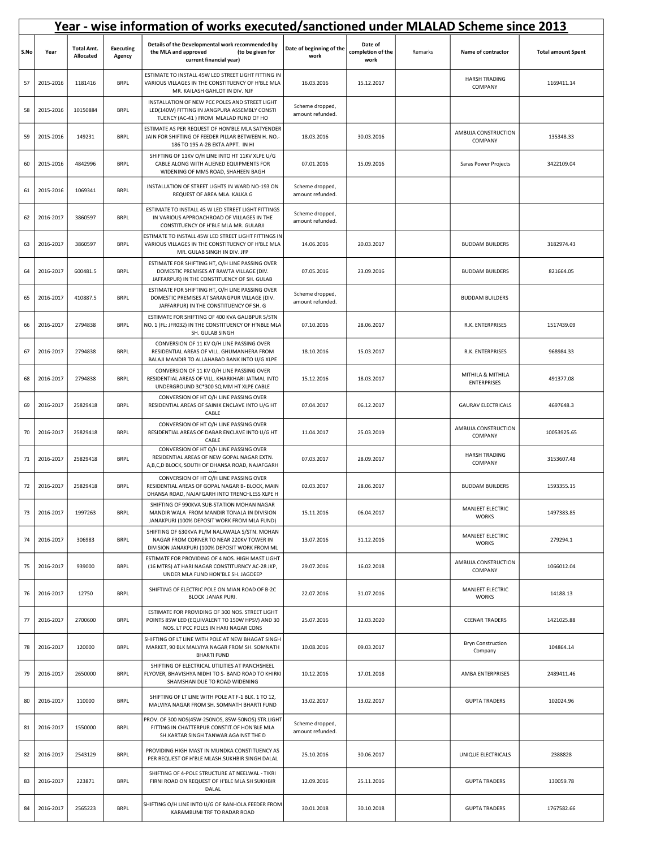|      | Year - wise information of works executed/sanctioned under MLALAD Scheme since 2013 |                                |                            |                                                                                                                                            |                                     |                                      |         |                                         |                           |  |  |
|------|-------------------------------------------------------------------------------------|--------------------------------|----------------------------|--------------------------------------------------------------------------------------------------------------------------------------------|-------------------------------------|--------------------------------------|---------|-----------------------------------------|---------------------------|--|--|
| S.No | Year                                                                                | <b>Total Amt.</b><br>Allocated | <b>Executing</b><br>Agency | Details of the Developmental work recommended by<br>the MLA and approved<br>(to be given for<br>current financial year)                    | Date of beginning of the<br>work    | Date of<br>completion of the<br>work | Remarks | Name of contractor                      | <b>Total amount Spent</b> |  |  |
| 57   | 2015-2016                                                                           | 1181416                        | <b>BRPL</b>                | ESTIMATE TO INSTALL 45W LED STREET LIGHT FITTING IN<br>VARIOUS VILLAGES IN THE CONSTITUENCY OF H'BLE MLA<br>MR. KAILASH GAHLOT IN DIV. NJF | 16.03.2016                          | 15.12.2017                           |         | <b>HARSH TRADING</b><br>COMPANY         | 1169411.14                |  |  |
| 58   | 2015-2016                                                                           | 10150884                       | <b>BRPL</b>                | INSTALLATION OF NEW PCC POLES AND STREET LIGHT<br>LED(140W) FITTING IN JANGPURA ASSEMBLY CONSTI<br>TUENCY (AC-41) FROM MLALAD FUND OF HO   | Scheme dropped,<br>amount refunded. |                                      |         |                                         |                           |  |  |
| 59   | 2015-2016                                                                           | 149231                         | <b>BRPL</b>                | ESTIMATE AS PER REQUEST OF HON'BLE MLA SATYENDER<br>JAIN FOR SHIFTING OF FEEDER PILLAR BETWEEN H. NO.-<br>186 TO 195 A-2B EKTA APPT. IN HI | 18.03.2016                          | 30.03.2016                           |         | AMBUJA CONSTRUCTION<br>COMPANY          | 135348.33                 |  |  |
| 60   | 2015-2016                                                                           | 4842996                        | <b>BRPL</b>                | SHIFTING OF 11KV O/H LINE INTO HT 11KV XLPE U/G<br>CABLE ALONG WITH ALIENED EQUIPMENTS FOR<br>WIDENING OF MMS ROAD, SHAHEEN BAGH           | 07.01.2016                          | 15.09.2016                           |         | Saras Power Projects                    | 3422109.04                |  |  |
| 61   | 2015-2016                                                                           | 1069341                        | <b>BRPL</b>                | INSTALLATION OF STREET LIGHTS IN WARD NO-193 ON<br>REQUEST OF AREA MLA. KALKA G                                                            | Scheme dropped,<br>amount refunded. |                                      |         |                                         |                           |  |  |
| 62   | 2016-2017                                                                           | 3860597                        | <b>BRPL</b>                | ESTIMATE TO INSTALL 45 W LED STREET LIGHT FITTINGS<br>IN VARIOUS APPROACHROAD OF VILLAGES IN THE<br>CONSTITUENCY OF H'BLE MLA MR. GULABJI  | Scheme dropped,<br>amount refunded. |                                      |         |                                         |                           |  |  |
| 63   | 2016-2017                                                                           | 3860597                        | <b>BRPL</b>                | ESTIMATE TO INSTALL 45W LED STREET LIGHT FITTINGS IN<br>VARIOUS VILLAGES IN THE CONSTITUENCY OF H'BLE MLA<br>MR. GULAB SINGH IN DIV. JFP   | 14.06.2016                          | 20.03.2017                           |         | <b>BUDDAM BUILDERS</b>                  | 3182974.43                |  |  |
| 64   | 2016-2017                                                                           | 600481.5                       | <b>BRPL</b>                | ESTIMATE FOR SHIFTING HT, O/H LINE PASSING OVER<br>DOMESTIC PREMISES AT RAWTA VILLAGE (DIV.<br>JAFFARPUR) IN THE CONSTITUENCY OF SH. GULAB | 07.05.2016                          | 23.09.2016                           |         | <b>BUDDAM BUILDERS</b>                  | 821664.05                 |  |  |
| 65   | 2016-2017                                                                           | 410887.5                       | <b>BRPL</b>                | ESTIMATE FOR SHIFTING HT, O/H LINE PASSING OVER<br>DOMESTIC PREMISES AT SARANGPUR VILLAGE (DIV.<br>JAFFARPUR) IN THE CONSTITUENCY OF SH. G | Scheme dropped,<br>amount refunded. |                                      |         | <b>BUDDAM BUILDERS</b>                  |                           |  |  |
| 66   | 2016-2017                                                                           | 2794838                        | <b>BRPL</b>                | ESTIMATE FOR SHIFTING OF 400 KVA GALIBPUR S/STN<br>NO. 1 (FL: JFR032) IN THE CONSTITUENCY OF H'NBLE MLA<br>SH. GULAB SINGH                 | 07.10.2016                          | 28.06.2017                           |         | R.K. ENTERPRISES                        | 1517439.09                |  |  |
| 67   | 2016-2017                                                                           | 2794838                        | <b>BRPL</b>                | CONVERSION OF 11 KV O/H LINE PASSING OVER<br>RESIDENTIAL AREAS OF VILL. GHUMANHERA FROM<br>BALAJI MANDIR TO ALLAHABAD BANK INTO U/G XLPE   | 18.10.2016                          | 15.03.2017                           |         | R.K. ENTERPRISES                        | 968984.33                 |  |  |
| 68   | 2016-2017                                                                           | 2794838                        | <b>BRPL</b>                | CONVERSION OF 11 KV O/H LINE PASSING OVER<br>RESIDENTIAL AREAS OF VILL. KHARKHARI JATMAL INTO<br>UNDERGROUND 3C*300 SQ MM HT XLPE CABLE    | 15.12.2016                          | 18.03.2017                           |         | MITHILA & MITHILA<br><b>ENTERPRISES</b> | 491377.08                 |  |  |
| 69   | 2016-2017                                                                           | 25829418                       | <b>BRPL</b>                | CONVERSION OF HT O/H LINE PASSING OVER<br>RESIDENTIAL AREAS OF SAINIK ENCLAVE INTO U/G HT<br>CABLE                                         | 07.04.2017                          | 06.12.2017                           |         | <b>GAURAV ELECTRICALS</b>               | 4697648.3                 |  |  |
| 70   | 2016-2017                                                                           | 25829418                       | <b>BRPL</b>                | CONVERSION OF HT O/H LINE PASSING OVER<br>RESIDENTIAL AREAS OF DABAR ENCLAVE INTO U/G HT<br>CABLE                                          | 11.04.2017                          | 25.03.2019                           |         | AMBUJA CONSTRUCTION<br>COMPANY          | 10053925.65               |  |  |
| 71   | 2016-2017                                                                           | 25829418                       | <b>BRPL</b>                | CONVERSION OF HT O/H LINE PASSING OVER<br>RESIDENTIAL AREAS OF NEW GOPAL NAGAR EXTN.<br>A,B,C,D BLOCK, SOUTH OF DHANSA ROAD, NAJAFGARH     | 07.03.2017                          | 28.09.2017                           |         | <b>HARSH TRADING</b><br>COMPANY         | 3153607.48                |  |  |
| 72   | 2016-2017                                                                           | 25829418                       | <b>BRPL</b>                | CONVERSION OF HT O/H LINE PASSING OVER<br>RESIDENTIAL AREAS OF GOPAL NAGAR B- BLOCK, MAIN<br>DHANSA ROAD, NAJAFGARH INTO TRENCHLESS XLPE H | 02.03.2017                          | 28.06.2017                           |         | <b>BUDDAM BUILDERS</b>                  | 1593355.15                |  |  |
| 73   | 2016-2017                                                                           | 1997263                        | <b>BRPL</b>                | SHIFTING OF 990KVA SUB-STATION MOHAN NAGAR<br>MANDIR WALA FROM MANDIR TONALA IN DIVISION<br>JANAKPURI (100% DEPOSIT WORK FROM MLA FUND)    | 15.11.2016                          | 06.04.2017                           |         | MANJEET ELECTRIC<br><b>WORKS</b>        | 1497383.85                |  |  |
| 74   | 2016-2017                                                                           | 306983                         | <b>BRPL</b>                | SHIFTING OF 630KVA PL/M NALAWALA S/STN. MOHAN<br>NAGAR FROM CORNER TO NEAR 220KV TOWER IN<br>DIVISION JANAKPURI (100% DEPOSIT WORK FROM ML | 13.07.2016                          | 31.12.2016                           |         | MANJEET ELECTRIC<br><b>WORKS</b>        | 279294.1                  |  |  |
| 75   | 2016-2017                                                                           | 939000                         | <b>BRPL</b>                | ESTIMATE FOR PROVIDING OF 4 NOS. HIGH MAST LIGHT<br>(16 MTRS) AT HARI NAGAR CONSTITURNCY AC-28 JKP,<br>UNDER MLA FUND HON'BLE SH. JAGDEEP  | 29.07.2016                          | 16.02.2018                           |         | AMBUJA CONSTRUCTION<br>COMPANY          | 1066012.04                |  |  |
| 76   | 2016-2017                                                                           | 12750                          | <b>BRPL</b>                | SHIFTING OF ELECTRIC POLE ON MIAN ROAD OF B-2C<br><b>BLOCK JANAK PURI.</b>                                                                 | 22.07.2016                          | 31.07.2016                           |         | MANJEET ELECTRIC<br><b>WORKS</b>        | 14188.13                  |  |  |
| 77   | 2016-2017                                                                           | 2700600                        | <b>BRPL</b>                | ESTIMATE FOR PROVIDING OF 300 NOS. STREET LIGHT<br>POINTS 85W LED (EQUIVALENT TO 150W HPSV) AND 30<br>NOS. LT PCC POLES IN HARI NAGAR CONS | 25.07.2016                          | 12.03.2020                           |         | <b>CEENAR TRADERS</b>                   | 1421025.88                |  |  |
| 78   | 2016-2017                                                                           | 120000                         | <b>BRPL</b>                | SHIFTING OF LT LINE WITH POLE AT NEW BHAGAT SINGH<br>MARKET, 90 BLK MALVIYA NAGAR FROM SH. SOMNATH<br><b>BHARTI FUND</b>                   | 10.08.2016                          | 09.03.2017                           |         | <b>Bryn Construction</b><br>Company     | 104864.14                 |  |  |
| 79   | 2016-2017                                                                           | 2650000                        | <b>BRPL</b>                | SHIFTING OF ELECTRICAL UTILITIES AT PANCHSHEEL<br>FLYOVER, BHAVISHYA NIDHI TO S- BAND ROAD TO KHIRKI<br>SHAMSHAN DUE TO ROAD WIDENING      | 10.12.2016                          | 17.01.2018                           |         | AMBA ENTERPRISES                        | 2489411.46                |  |  |
| 80   | 2016-2017                                                                           | 110000                         | <b>BRPL</b>                | SHIFTING OF LT LINE WITH POLE AT F-1 BLK. 1 TO 12,<br>MALVIYA NAGAR FROM SH. SOMNATH BHARTI FUND                                           | 13.02.2017                          | 13.02.2017                           |         | <b>GUPTA TRADERS</b>                    | 102024.96                 |  |  |
| 81   | 2016-2017                                                                           | 1550000                        | <b>BRPL</b>                | PROV. OF 300 NOS(45W-250NOS, 85W-50NOS) STR.LIGHT<br>FITTING IN CHATTERPUR CONSTIT.OF HON'BLE MLA<br>SH.KARTAR SINGH TANWAR AGAINST THE D  | Scheme dropped,<br>amount refunded. |                                      |         |                                         |                           |  |  |
| 82   | 2016-2017                                                                           | 2543129                        | <b>BRPL</b>                | PROVIDING HIGH MAST IN MUNDKA CONSTITUENCY AS<br>PER REQUEST OF H'BLE MLASH.SUKHBIR SINGH DALAL                                            | 25.10.2016                          | 30.06.2017                           |         | UNIQUE ELECTRICALS                      | 2388828                   |  |  |
| 83   | 2016-2017                                                                           | 223871                         | <b>BRPL</b>                | SHIFTING OF 4-POLE STRUCTURE AT NEELWAL - TIKRI<br>FIRNI ROAD ON REQUEST OF H'BLE MLA SH SUKHBIR<br>DALAL                                  | 12.09.2016                          | 25.11.2016                           |         | <b>GUPTA TRADERS</b>                    | 130059.78                 |  |  |
| 84   | 2016-2017                                                                           | 2565223                        | <b>BRPL</b>                | SHIFTING O/H LINE INTO U/G OF RANHOLA FEEDER FROM<br>KARAMBUMI TRF TO RADAR ROAD                                                           | 30.01.2018                          | 30.10.2018                           |         | <b>GUPTA TRADERS</b>                    | 1767582.66                |  |  |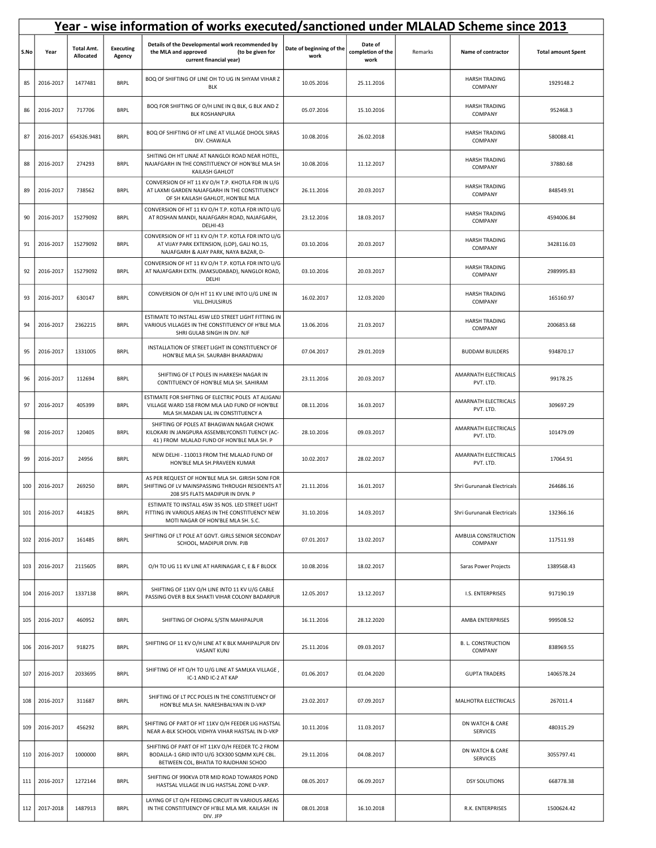|      | Year - wise information of works executed/sanctioned under MLALAD Scheme since 2013 |                                |                            |                                                                                                                                            |                                  |                                      |         |                                      |                           |  |  |  |
|------|-------------------------------------------------------------------------------------|--------------------------------|----------------------------|--------------------------------------------------------------------------------------------------------------------------------------------|----------------------------------|--------------------------------------|---------|--------------------------------------|---------------------------|--|--|--|
| S.No | Year                                                                                | <b>Total Amt.</b><br>Allocated | <b>Executing</b><br>Agency | Details of the Developmental work recommended by<br>(to be given for<br>the MLA and approved<br>current financial year)                    | Date of beginning of the<br>work | Date of<br>completion of the<br>work | Remarks | Name of contractor                   | <b>Total amount Spent</b> |  |  |  |
| 85   | 2016-2017                                                                           | 1477481                        | <b>BRPL</b>                | BOQ OF SHIFTING OF LINE OH TO UG IN SHYAM VIHAR Z<br><b>BLK</b>                                                                            | 10.05.2016                       | 25.11.2016                           |         | <b>HARSH TRADING</b><br>COMPANY      | 1929148.2                 |  |  |  |
| 86   | 2016-2017                                                                           | 717706                         | <b>BRPL</b>                | BOQ FOR SHIFTING OF O/H LINE IN Q BLK, G BLK AND Z<br><b>BLK ROSHANPURA</b>                                                                | 05.07.2016                       | 15.10.2016                           |         | <b>HARSH TRADING</b><br>COMPANY      | 952468.3                  |  |  |  |
| 87   | 2016-2017                                                                           | 654326.9481                    | <b>BRPL</b>                | BOQ OF SHIFTING OF HT LINE AT VILLAGE DHOOL SIRAS<br>DIV. CHAWALA                                                                          | 10.08.2016                       | 26.02.2018                           |         | <b>HARSH TRADING</b><br>COMPANY      | 580088.41                 |  |  |  |
| 88   | 2016-2017                                                                           | 274293                         | <b>BRPL</b>                | SHITING OH HT LINAE AT NANGLOI ROAD NEAR HOTEL,<br>NAJAFGARH IN THE CONSTITUENCY OF HON'BLE MLA SH<br>KAILASH GAHLOT                       | 10.08.2016                       | 11.12.2017                           |         | <b>HARSH TRADING</b><br>COMPANY      | 37880.68                  |  |  |  |
| 89   | 2016-2017                                                                           | 738562                         | <b>BRPL</b>                | CONVERSION OF HT 11 KV O/H T.P. KHOTLA FDR IN U/G<br>AT LAXMI GARDEN NAJAFGARH IN THE CONSTITUENCY<br>OF SH KAILASH GAHLOT, HON'BLE MLA    | 26.11.2016                       | 20.03.2017                           |         | <b>HARSH TRADING</b><br>COMPANY      | 848549.91                 |  |  |  |
| 90   | 2016-2017                                                                           | 15279092                       | <b>BRPL</b>                | CONVERSION OF HT 11 KV O/H T.P. KOTLA FDR INTO U/G<br>AT ROSHAN MANDI, NAJAFGARH ROAD, NAJAFGARH,<br>DELHI-43                              | 23.12.2016                       | 18.03.2017                           |         | <b>HARSH TRADING</b><br>COMPANY      | 4594006.84                |  |  |  |
| 91   | 2016-2017                                                                           | 15279092                       | <b>BRPL</b>                | CONVERSION OF HT 11 KV O/H T.P. KOTLA FDR INTO U/G<br>AT VIJAY PARK EXTENSION, (LOP), GALI NO.15,<br>NAJAFGARH & AJAY PARK, NAYA BAZAR, D- | 03.10.2016                       | 20.03.2017                           |         | <b>HARSH TRADING</b><br>COMPANY      | 3428116.03                |  |  |  |
| 92   | 2016-2017                                                                           | 15279092                       | <b>BRPL</b>                | CONVERSION OF HT 11 KV O/H T.P. KOTLA FDR INTO U/G<br>AT NAJAFGARH EXTN. (MAKSUDABAD), NANGLOI ROAD,<br>DELHI                              | 03.10.2016                       | 20.03.2017                           |         | <b>HARSH TRADING</b><br>COMPANY      | 2989995.83                |  |  |  |
| 93   | 2016-2017                                                                           | 630147                         | <b>BRPL</b>                | CONVERSION OF O/H HT 11 KV LINE INTO U/G LINE IN<br>VILL.DHULSIRUS                                                                         | 16.02.2017                       | 12.03.2020                           |         | <b>HARSH TRADING</b><br>COMPANY      | 165160.97                 |  |  |  |
| 94   | 2016-2017                                                                           | 2362215                        | <b>BRPL</b>                | ESTIMATE TO INSTALL 45W LED STREET LIGHT FITTING IN<br>VARIOUS VILLAGES IN THE CONSTITUENCY OF H'BLE MLA<br>SHRI GULAB SINGH IN DIV. NJF   | 13.06.2016                       | 21.03.2017                           |         | <b>HARSH TRADING</b><br>COMPANY      | 2006853.68                |  |  |  |
| 95   | 2016-2017                                                                           | 1331005                        | <b>BRPL</b>                | INSTALLATION OF STREET LIGHT IN CONSTITUENCY OF<br>HON'BLE MLA SH. SAURABH BHARADWAJ                                                       | 07.04.2017                       | 29.01.2019                           |         | <b>BUDDAM BUILDERS</b>               | 934870.17                 |  |  |  |
| 96   | 2016-2017                                                                           | 112694                         | <b>BRPL</b>                | SHIFTING OF LT POLES IN HARKESH NAGAR IN<br>CONTITUENCY OF HON'BLE MLA SH. SAHIRAM                                                         | 23.11.2016                       | 20.03.2017                           |         | AMARNATH ELECTRICALS<br>PVT. LTD.    | 99178.25                  |  |  |  |
| 97   | 2016-2017                                                                           | 405399                         | <b>BRPL</b>                | ESTIMATE FOR SHIFTING OF ELECTRIC POLES AT ALIGANJ<br>VILLAGE WARD 158 FROM MLA LAD FUND OF HON'BLE<br>MLA SH.MADAN LAL IN CONSTITUENCY A  | 08.11.2016                       | 16.03.2017                           |         | AMARNATH ELECTRICALS<br>PVT. LTD.    | 309697.29                 |  |  |  |
| 98   | 2016-2017                                                                           | 120405                         | <b>BRPL</b>                | SHIFTING OF POLES AT BHAGWAN NAGAR CHOWK<br>KILOKARI IN JANGPURA ASSEMBLYCONSTI TUENCY (AC-<br>41 ) FROM MLALAD FUND OF HON'BLE MLA SH. P  | 28.10.2016                       | 09.03.2017                           |         | AMARNATH ELECTRICALS<br>PVT. LTD.    | 101479.09                 |  |  |  |
| 99   | 2016-2017                                                                           | 24956                          | <b>BRPL</b>                | NEW DELHI - 110013 FROM THE MLALAD FUND OF<br>HON'BLE MLA SH.PRAVEEN KUMAR                                                                 | 10.02.2017                       | 28.02.2017                           |         | AMARNATH ELECTRICALS<br>PVT. LTD.    | 17064.91                  |  |  |  |
| 100  | 2016-2017                                                                           | 269250                         | <b>BRPL</b>                | AS PER REQUEST OF HON'BLE MLA SH. GIRISH SONI FOR<br>SHIFTING OF LV MAINSPASSING THROUGH RESIDENTS AT<br>208 SFS FLATS MADIPUR IN DIVN. P  | 21.11.2016                       | 16.01.2017                           |         | Shri Gurunanak Electricals           | 264686.16                 |  |  |  |
| 101  | 2016-2017                                                                           | 441825                         | <b>BRPL</b>                | ESTIMATE TO INSTALL 45W 35 NOS. LED STREET LIGHT<br>FITTING IN VARIOUS AREAS IN THE CONSTITUENCY NEW<br>MOTI NAGAR OF HON'BLE MLA SH. S.C. | 31.10.2016                       | 14.03.2017                           |         | Shri Gurunanak Electricals           | 132366.16                 |  |  |  |
| 102  | 2016-2017                                                                           | 161485                         | <b>BRPL</b>                | SHIFTING OF LT POLE AT GOVT. GIRLS SENIOR SECONDAY<br>SCHOOL, MADIPUR DIVN. PJB                                                            | 07.01.2017                       | 13.02.2017                           |         | AMBUJA CONSTRUCTION<br>COMPANY       | 117511.93                 |  |  |  |
| 103  | 2016-2017                                                                           | 2115605                        | <b>BRPL</b>                | O/H TO UG 11 KV LINE AT HARINAGAR C, E & F BLOCK                                                                                           | 10.08.2016                       | 18.02.2017                           |         | Saras Power Projects                 | 1389568.43                |  |  |  |
| 104  | 2016-2017                                                                           | 1337138                        | <b>BRPL</b>                | SHIFTING OF 11KV O/H LINE INTO 11 KV U/G CABLE<br>PASSING OVER B BLK SHAKTI VIHAR COLONY BADARPUR                                          | 12.05.2017                       | 13.12.2017                           |         | I.S. ENTERPRISES                     | 917190.19                 |  |  |  |
| 105  | 2016-2017                                                                           | 460952                         | <b>BRPL</b>                | SHIFTING OF CHOPAL S/STN MAHIPALPUR                                                                                                        | 16.11.2016                       | 28.12.2020                           |         | AMBA ENTERPRISES                     | 999508.52                 |  |  |  |
| 106  | 2016-2017                                                                           | 918275                         | <b>BRPL</b>                | SHIFTING OF 11 KV O/H LINE AT K BLK MAHIPALPUR DIV<br>VASANT KUNJ                                                                          | 25.11.2016                       | 09.03.2017                           |         | <b>B. L. CONSTRUCTION</b><br>COMPANY | 838969.55                 |  |  |  |
| 107  | 2016-2017                                                                           | 2033695                        | <b>BRPL</b>                | SHIFTING OF HT O/H TO U/G LINE AT SAMLKA VILLAGE,<br>IC-1 AND IC-2 AT KAP                                                                  | 01.06.2017                       | 01.04.2020                           |         | <b>GUPTA TRADERS</b>                 | 1406578.24                |  |  |  |
| 108  | 2016-2017                                                                           | 311687                         | <b>BRPL</b>                | SHIFTING OF LT PCC POLES IN THE CONSTITUENCY OF<br>HON'BLE MLA SH. NARESHBALYAN IN D-VKP                                                   | 23.02.2017                       | 07.09.2017                           |         | MALHOTRA ELECTRICALS                 | 267011.4                  |  |  |  |
| 109  | 2016-2017                                                                           | 456292                         | <b>BRPL</b>                | SHIFTING OF PART OF HT 11KV O/H FEEDER LIG HASTSAL<br>NEAR A-BLK SCHOOL VIDHYA VIHAR HASTSAL IN D-VKP                                      | 10.11.2016                       | 11.03.2017                           |         | DN WATCH & CARE<br><b>SERVICES</b>   | 480315.29                 |  |  |  |
| 110  | 2016-2017                                                                           | 1000000                        | <b>BRPL</b>                | SHIFTING OF PART OF HT 11KV O/H FEEDER TC-2 FROM<br>BODALLA-1 GRID INTO U/G 3CX300 SQMM XLPE CBL.<br>BETWEEN COL, BHATIA TO RAJDHANI SCHOO | 29.11.2016                       | 04.08.2017                           |         | DN WATCH & CARE<br>SERVICES          | 3055797.41                |  |  |  |
| 111  | 2016-2017                                                                           | 1272144                        | <b>BRPL</b>                | SHIFTING OF 990KVA DTR MID ROAD TOWARDS POND<br>HASTSAL VILLAGE IN LIG HASTSAL ZONE D-VKP.                                                 | 08.05.2017                       | 06.09.2017                           |         | <b>DSY SOLUTIONS</b>                 | 668778.38                 |  |  |  |
| 112  | 2017-2018                                                                           | 1487913                        | <b>BRPL</b>                | LAYING OF LT O/H FEEDING CIRCUIT IN VARIOUS AREAS<br>IN THE CONSTITUENCY OF H'BLE MLA MR. KAILASH IN<br>DIV. JFP                           | 08.01.2018                       | 16.10.2018                           |         | R.K. ENTERPRISES                     | 1500624.42                |  |  |  |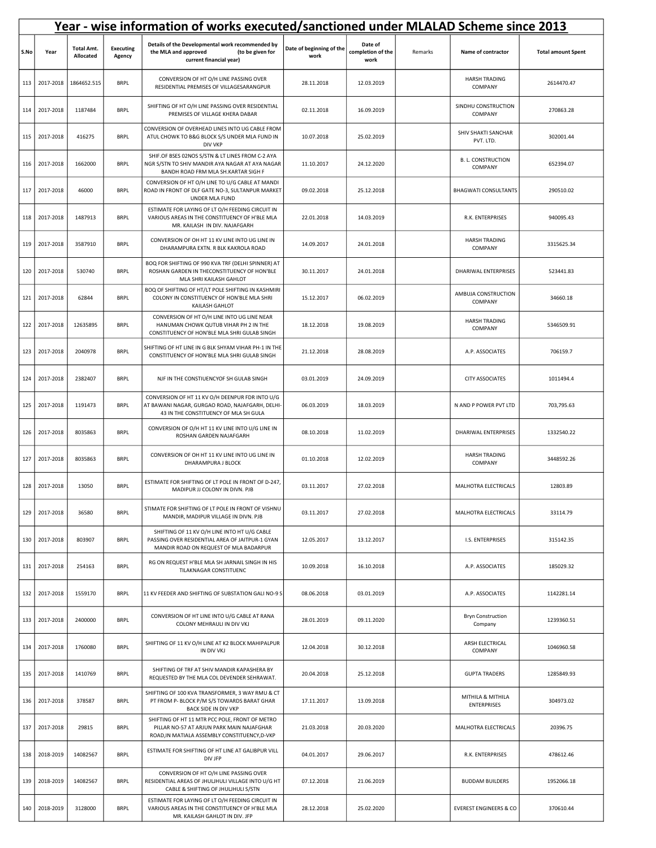|      | Year - wise information of works executed/sanctioned under MLALAD Scheme since 2013 |                                |                            |                                                                                                                                              |                                  |                                      |         |                                         |                           |  |  |
|------|-------------------------------------------------------------------------------------|--------------------------------|----------------------------|----------------------------------------------------------------------------------------------------------------------------------------------|----------------------------------|--------------------------------------|---------|-----------------------------------------|---------------------------|--|--|
| S.No | Year                                                                                | <b>Total Amt.</b><br>Allocated | <b>Executing</b><br>Agency | Details of the Developmental work recommended by<br>the MLA and approved<br>(to be given for<br>current financial year)                      | Date of beginning of the<br>work | Date of<br>completion of the<br>work | Remarks | Name of contractor                      | <b>Total amount Spent</b> |  |  |
| 113  | 2017-2018                                                                           | 1864652.515                    | <b>BRPL</b>                | CONVERSION OF HT O/H LINE PASSING OVER<br>RESIDENTIAL PREMISES OF VILLAGESARANGPUR                                                           | 28.11.2018                       | 12.03.2019                           |         | <b>HARSH TRADING</b><br>COMPANY         | 2614470.47                |  |  |
| 114  | 2017-2018                                                                           | 1187484                        | <b>BRPL</b>                | SHIFTING OF HT O/H LINE PASSING OVER RESIDENTIAL<br>PREMISES OF VILLAGE KHERA DABAR                                                          | 02.11.2018                       | 16.09.2019                           |         | SINDHU CONSTRUCTION<br>COMPANY          | 270863.28                 |  |  |
| 115  | 2017-2018                                                                           | 416275                         | <b>BRPL</b>                | CONVERSION OF OVERHEAD LINES INTO UG CABLE FROM<br>ATUL CHOWK TO B&G BLOCK S/S UNDER MLA FUND IN<br><b>DIV VKP</b>                           | 10.07.2018                       | 25.02.2019                           |         | SHIV SHAKTI SANCHAR<br>PVT. LTD.        | 302001.44                 |  |  |
| 116  | 2017-2018                                                                           | 1662000                        | <b>BRPL</b>                | SHIF.OF BSES 02NOS S/STN & LT LINES FROM C-2 AYA<br>NGR S/STN TO SHIV MANDIR AYA NAGAR AT AYA NAGAR<br>BANDH ROAD FRM MLA SH.KARTAR SIGH F   | 11.10.2017                       | 24.12.2020                           |         | <b>B. L. CONSTRUCTION</b><br>COMPANY    | 652394.07                 |  |  |
| 117  | 2017-2018                                                                           | 46000                          | <b>BRPL</b>                | CONVERSION OF HT O/H LINE TO U/G CABLE AT MANDI<br>ROAD IN FRONT OF DLF GATE NO-3, SULTANPUR MARKET<br>UNDER MLA FUND                        | 09.02.2018                       | 25.12.2018                           |         | <b>BHAGWATI CONSULTANTS</b>             | 290510.02                 |  |  |
| 118  | 2017-2018                                                                           | 1487913                        | <b>BRPL</b>                | ESTIMATE FOR LAYING OF LT O/H FEEDING CIRCUIT IN<br>VARIOUS AREAS IN THE CONSTITUENCY OF H'BLE MLA<br>MR. KAILASH IN DIV. NAJAFGARH          | 22.01.2018                       | 14.03.2019                           |         | R.K. ENTERPRISES                        | 940095.43                 |  |  |
| 119  | 2017-2018                                                                           | 3587910                        | <b>BRPL</b>                | CONVERSION OF OH HT 11 KV LINE INTO UG LINE IN<br>DHARAMPURA EXTN. R BLK KAKROLA ROAD                                                        | 14.09.2017                       | 24.01.2018                           |         | <b>HARSH TRADING</b><br>COMPANY         | 3315625.34                |  |  |
| 120  | 2017-2018                                                                           | 530740                         | <b>BRPL</b>                | BOQ FOR SHIFTING OF 990 KVA TRF (DELHI SPINNER) AT<br>ROSHAN GARDEN IN THECONSTITUENCY OF HON'BLE<br>MLA SHRI KAILASH GAHLOT                 | 30.11.2017                       | 24.01.2018                           |         | DHARIWAL ENTERPRISES                    | 523441.83                 |  |  |
| 121  | 2017-2018                                                                           | 62844                          | <b>BRPL</b>                | BOQ OF SHIFTING OF HT/LT POLE SHIFTING IN KASHMIRI<br>COLONY IN CONSTITUENCY OF HON'BLE MLA SHRI<br>KAILASH GAHLOT                           | 15.12.2017                       | 06.02.2019                           |         | AMBUJA CONSTRUCTION<br>COMPANY          | 34660.18                  |  |  |
| 122  | 2017-2018                                                                           | 12635895                       | <b>BRPL</b>                | CONVERSION OF HT O/H LINE INTO UG LINE NEAR<br>HANUMAN CHOWK QUTUB VIHAR PH 2 IN THE<br>CONSTITUENCY OF HON'BLE MLA SHRI GULAB SINGH         | 18.12.2018                       | 19.08.2019                           |         | <b>HARSH TRADING</b><br>COMPANY         | 5346509.91                |  |  |
| 123  | 2017-2018                                                                           | 2040978                        | <b>BRPL</b>                | SHIFTING OF HT LINE IN G BLK SHYAM VIHAR PH-1 IN THE<br>CONSTITUENCY OF HON'BLE MLA SHRI GULAB SINGH                                         | 21.12.2018                       | 28.08.2019                           |         | A.P. ASSOCIATES                         | 706159.7                  |  |  |
| 124  | 2017-2018                                                                           | 2382407                        | <b>BRPL</b>                | NJF IN THE CONSTIUENCYOF SH GULAB SINGH                                                                                                      | 03.01.2019                       | 24.09.2019                           |         | <b>CITY ASSOCIATES</b>                  | 1011494.4                 |  |  |
| 125  | 2017-2018                                                                           | 1191473                        | <b>BRPL</b>                | CONVERSION OF HT 11 KV O/H DEENPUR FDR INTO U/G<br>AT BAWANI NAGAR, GURGAO ROAD, NAJAFGARH, DELHI-<br>43 IN THE CONSTITUENCY OF MLA SH GULA  | 06.03.2019                       | 18.03.2019                           |         | N AND P POWER PVT LTD                   | 703,795.63                |  |  |
| 126  | 2017-2018                                                                           | 8035863                        | <b>BRPL</b>                | CONVERSION OF O/H HT 11 KV LINE INTO U/G LINE IN<br>ROSHAN GARDEN NAJAFGARH                                                                  | 08.10.2018                       | 11.02.2019                           |         | DHARIWAL ENTERPRISES                    | 1332540.22                |  |  |
| 127  | 2017-2018                                                                           | 8035863                        | <b>BRPL</b>                | CONVERSION OF OH HT 11 KV LINE INTO UG LINE IN<br>DHARAMPURA J BLOCK                                                                         | 01.10.2018                       | 12.02.2019                           |         | <b>HARSH TRADING</b><br>COMPANY         | 3448592.26                |  |  |
| 128  | 2017-2018                                                                           | 13050                          | <b>BRPL</b>                | ESTIMATE FOR SHIFTING OF LT POLE IN FRONT OF D-247,<br>MADIPUR JJ COLONY IN DIVN. PJB                                                        | 03.11.2017                       | 27.02.2018                           |         | MALHOTRA ELECTRICALS                    | 12803.89                  |  |  |
| 129  | 2017-2018                                                                           | 36580                          | <b>BRPL</b>                | STIMATE FOR SHIFTING OF LT POLE IN FRONT OF VISHNU<br>MANDIR, MADIPUR VILLAGE IN DIVN. PJB                                                   | 03.11.2017                       | 27.02.2018                           |         | MALHOTRA ELECTRICALS                    | 33114.79                  |  |  |
| 130  | 2017-2018                                                                           | 803907                         | <b>BRPL</b>                | SHIFTING OF 11 KV O/H LINE INTO HT U/G CABLE<br>PASSING OVER RESIDENTIAL AREA OF JAITPUR-1 GYAN<br>MANDIR ROAD ON REQUEST OF MLA BADARPUR    | 12.05.2017                       | 13.12.2017                           |         | I.S. ENTERPRISES                        | 315142.35                 |  |  |
| 131  | 2017-2018                                                                           | 254163                         | <b>BRPL</b>                | RG ON REQUEST H'BLE MLA SH JARNAIL SINGH IN HIS<br>TILAKNAGAR CONSTITUENC                                                                    | 10.09.2018                       | 16.10.2018                           |         | A.P. ASSOCIATES                         | 185029.32                 |  |  |
| 132  | 2017-2018                                                                           | 1559170                        | <b>BRPL</b>                | 11 KV FEEDER AND SHIFTING OF SUBSTATION GALI NO-9 S                                                                                          | 08.06.2018                       | 03.01.2019                           |         | A.P. ASSOCIATES                         | 1142281.14                |  |  |
| 133  | 2017-2018                                                                           | 2400000                        | <b>BRPL</b>                | CONVERSION OF HT LINE INTO U/G CABLE AT RANA<br>COLONY MEHRAULI IN DIV VKJ                                                                   | 28.01.2019                       | 09.11.2020                           |         | <b>Bryn Construction</b><br>Company     | 1239360.51                |  |  |
| 134  | 2017-2018                                                                           | 1760080                        | <b>BRPL</b>                | SHIFTING OF 11 KV O/H LINE AT K2 BLOCK MAHIPALPUR<br>IN DIV VKJ                                                                              | 12.04.2018                       | 30.12.2018                           |         | ARSH ELECTRICAL<br>COMPANY              | 1046960.58                |  |  |
| 135  | 2017-2018                                                                           | 1410769                        | <b>BRPL</b>                | SHIFTING OF TRF AT SHIV MANDIR KAPASHERA BY<br>REQUESTED BY THE MLA COL DEVENDER SEHRAWAT.                                                   | 20.04.2018                       | 25.12.2018                           |         | <b>GUPTA TRADERS</b>                    | 1285849.93                |  |  |
| 136  | 2017-2018                                                                           | 378587                         | <b>BRPL</b>                | SHIFTING OF 100 KVA TRANSFORMER, 3 WAY RMU & CT<br>PT FROM P- BLOCK P/M S/S TOWARDS BARAT GHAR<br>BACK SIDE IN DIV VKP                       | 17.11.2017                       | 13.09.2018                           |         | MITHILA & MITHILA<br><b>ENTERPRISES</b> | 304973.02                 |  |  |
| 137  | 2017-2018                                                                           | 29815                          | <b>BRPL</b>                | SHIFTING OF HT 11 MTR PCC POLE, FRONT OF METRO<br>PILLAR NO-57 AT ARJUN PARK MAIN NAJAFGHAR<br>ROAD, IN MATIALA ASSEMBLY CONSTITUENCY, D-VKP | 21.03.2018                       | 20.03.2020                           |         | MALHOTRA ELECTRICALS                    | 20396.75                  |  |  |
| 138  | 2018-2019                                                                           | 14082567                       | <b>BRPL</b>                | ESTIMATE FOR SHIFTING OF HT LINE AT GALIBPUR VILL<br>DIV JFP                                                                                 | 04.01.2017                       | 29.06.2017                           |         | R.K. ENTERPRISES                        | 478612.46                 |  |  |
| 139  | 2018-2019                                                                           | 14082567                       | <b>BRPL</b>                | CONVERSION OF HT O/H LINE PASSING OVER<br>RESIDENTIAL AREAS OF JHULJHULI VILLAGE INTO U/G HT<br>CABLE & SHIFTING OF JHULJHULI S/STN          | 07.12.2018                       | 21.06.2019                           |         | <b>BUDDAM BUILDERS</b>                  | 1952066.18                |  |  |
| 140  | 2018-2019                                                                           | 3128000                        | <b>BRPL</b>                | ESTIMATE FOR LAYING OF LT O/H FEEDING CIRCUIT IN<br>VARIOUS AREAS IN THE CONSTITUENCY OF H'BLE MLA<br>MR. KAILASH GAHLOT IN DIV. JFP         | 28.12.2018                       | 25.02.2020                           |         | <b>EVEREST ENGINEERS &amp; CO</b>       | 370610.44                 |  |  |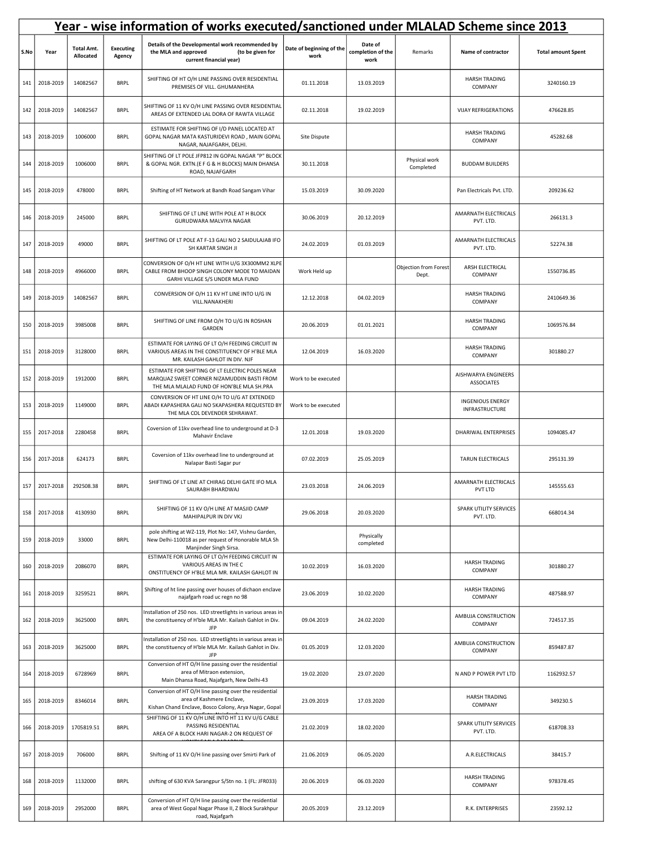|      | Year - wise information of works executed/sanctioned under MLALAD Scheme since 2013 |                                |                            |                                                                                                                                              |                                  |                                      |                                |                                           |                           |  |  |
|------|-------------------------------------------------------------------------------------|--------------------------------|----------------------------|----------------------------------------------------------------------------------------------------------------------------------------------|----------------------------------|--------------------------------------|--------------------------------|-------------------------------------------|---------------------------|--|--|
| S.No | Year                                                                                | <b>Total Amt.</b><br>Allocated | <b>Executing</b><br>Agency | Details of the Developmental work recommended by<br>(to be given for<br>the MLA and approved<br>current financial year)                      | Date of beginning of the<br>work | Date of<br>completion of the<br>work | Remarks                        | Name of contractor                        | <b>Total amount Spent</b> |  |  |
| 141  | 2018-2019                                                                           | 14082567                       | <b>BRPL</b>                | SHIFTING OF HT O/H LINE PASSING OVER RESIDENTIAL<br>PREMISES OF VILL. GHUMANHERA                                                             | 01.11.2018                       | 13.03.2019                           |                                | <b>HARSH TRADING</b><br>COMPANY           | 3240160.19                |  |  |
| 142  | 2018-2019                                                                           | 14082567                       | <b>BRPL</b>                | SHIFTING OF 11 KV O/H LINE PASSING OVER RESIDENTIAL<br>AREAS OF EXTENDED LAL DORA OF RAWTA VILLAGE                                           | 02.11.2018                       | 19.02.2019                           |                                | <b>VIJAY REFRIGERATIONS</b>               | 476628.85                 |  |  |
| 143  | 2018-2019                                                                           | 1006000                        | <b>BRPL</b>                | ESTIMATE FOR SHIFTING OF I/D PANEL LOCATED AT<br>GOPAL NAGAR MATA KASTURIDEVI ROAD, MAIN GOPAL<br>NAGAR, NAJAFGARH, DELHI.                   | Site Dispute                     |                                      |                                | <b>HARSH TRADING</b><br>COMPANY           | 45282.68                  |  |  |
| 144  | 2018-2019                                                                           | 1006000                        | <b>BRPL</b>                | SHIFTING OF LT POLE JFP812 IN GOPAL NAGAR "P" BLOCK<br>& GOPAL NGR. EXTN. (E F G & H BLOCKS) MAIN DHANSA<br>ROAD, NAJAFGARH                  | 30.11.2018                       |                                      | Physical work<br>Completed     | <b>BUDDAM BUILDERS</b>                    |                           |  |  |
| 145  | 2018-2019                                                                           | 478000                         | <b>BRPL</b>                | Shifting of HT Network at Bandh Road Sangam Vihar                                                                                            | 15.03.2019                       | 30.09.2020                           |                                | Pan Electricals Pvt. LTD.                 | 209236.62                 |  |  |
| 146  | 2018-2019                                                                           | 245000                         | <b>BRPL</b>                | SHIFTING OF LT LINE WITH POLE AT H BLOCK<br>GURUDWARA MALVIYA NAGAR                                                                          | 30.06.2019                       | 20.12.2019                           |                                | AMARNATH ELECTRICALS<br>PVT. LTD.         | 266131.3                  |  |  |
| 147  | 2018-2019                                                                           | 49000                          | <b>BRPL</b>                | SHIFTING OF LT POLE AT F-13 GALI NO 2 SAIDULAJAB IFO<br>SH KARTAR SINGH JI                                                                   | 24.02.2019                       | 01.03.2019                           |                                | AMARNATH ELECTRICALS<br>PVT. LTD.         | 52274.38                  |  |  |
| 148  | 2018-2019                                                                           | 4966000                        | <b>BRPL</b>                | CONVERSION OF O/H HT LINE WITH U/G 3X300MM2 XLPE<br>CABLE FROM BHOOP SINGH COLONY MODE TO MAIDAN<br>GARHI VILLAGE S/S UNDER MLA FUND         | Work Held up                     |                                      | Objection from Forest<br>Dept. | ARSH ELECTRICAL<br>COMPANY                | 1550736.85                |  |  |
| 149  | 2018-2019                                                                           | 14082567                       | <b>BRPL</b>                | CONVERSION OF O/H 11 KV HT LINE INTO U/G IN<br>VILL.NANAKHERI                                                                                | 12.12.2018                       | 04.02.2019                           |                                | <b>HARSH TRADING</b><br>COMPANY           | 2410649.36                |  |  |
| 150  | 2018-2019                                                                           | 3985008                        | <b>BRPL</b>                | SHIFTING OF LINE FROM O/H TO U/G IN ROSHAN<br>GARDEN                                                                                         | 20.06.2019                       | 01.01.2021                           |                                | <b>HARSH TRADING</b><br>COMPANY           | 1069576.84                |  |  |
| 151  | 2018-2019                                                                           | 3128000                        | <b>BRPL</b>                | ESTIMATE FOR LAYING OF LT O/H FEEDING CIRCUIT IN<br>VARIOUS AREAS IN THE CONSTITUENCY OF H'BLE MLA<br>MR. KAILASH GAHLOT IN DIV. NJF         | 12.04.2019                       | 16.03.2020                           |                                | <b>HARSH TRADING</b><br>COMPANY           | 301880.27                 |  |  |
| 152  | 2018-2019                                                                           | 1912000                        | <b>BRPL</b>                | ESTIMATE FOR SHIFTING OF LT ELECTRIC POLES NEAR<br>MARQUAZ SWEET CORNER NIZAMUDDIN BASTI FROM<br>THE MLA MLALAD FUND OF HON'BLE MLA SH.PRA   | Work to be executed              |                                      |                                | AISHWARYA ENGINEERS<br><b>ASSOCIATES</b>  |                           |  |  |
| 153  | 2018-2019                                                                           | 1149000                        | <b>BRPL</b>                | CONVERSION OF HT LINE O/H TO U/G AT EXTENDED<br>ABADI KAPASHERA GALI NO 5KAPASHERA REQUESTED BY<br>THE MLA COL DEVENDER SEHRAWAT.            | Work to be executed              |                                      |                                | <b>INGENIOUS ENERGY</b><br>INFRASTRUCTURE |                           |  |  |
| 155  | 2017-2018                                                                           | 2280458                        | <b>BRPL</b>                | Coversion of 11kv overhead line to underground at D-3<br>Mahavir Enclave                                                                     | 12.01.2018                       | 19.03.2020                           |                                | DHARIWAL ENTERPRISES                      | 1094085.47                |  |  |
| 156  | 2017-2018                                                                           | 624173                         | <b>BRPL</b>                | Coversion of 11kv overhead line to underground at<br>Nalapar Basti Sagar pur                                                                 | 07.02.2019                       | 25.05.2019                           |                                | TARUN ELECTRICALS                         | 295131.39                 |  |  |
| 157  | 2017-2018                                                                           | 292508.38                      | <b>BRPL</b>                | SHIFTING OF LT LINE AT CHIRAG DELHI GATE IFO MLA<br>SAURABH BHARDWAJ                                                                         | 23.03.2018                       | 24.06.2019                           |                                | AMARNATH ELECTRICALS<br>PVT LTD           | 145555.63                 |  |  |
| 158  | 2017-2018                                                                           | 4130930                        | <b>BRPL</b>                | SHIFTING OF 11 KV O/H LINE AT MASJID CAMP<br>MAHIPALPUR IN DIV VKJ                                                                           | 29.06.2018                       | 20.03.2020                           |                                | SPARK UTILITY SERVICES<br>PVT. LTD.       | 668014.34                 |  |  |
| 159  | 2018-2019                                                                           | 33000                          | <b>BRPL</b>                | pole shifting at WZ-119, Plot No: 147, Vishnu Garden,<br>New Delhi-110018 as per request of Honorable MLA Sh<br>Manjinder Singh Sirsa.       |                                  | Physically<br>completed              |                                |                                           |                           |  |  |
| 160  | 2018-2019                                                                           | 2086070                        | <b>BRPL</b>                | ESTIMATE FOR LAYING OF LT O/H FEEDING CIRCUIT IN<br>VARIOUS AREAS IN THE C<br>ONSTITUENCY OF H'BLE MLA MR. KAILASH GAHLOT IN                 | 10.02.2019                       | 16.03.2020                           |                                | <b>HARSH TRADING</b><br>COMPANY           | 301880.27                 |  |  |
| 161  | 2018-2019                                                                           | 3259521                        | <b>BRPL</b>                | Shifting of ht line passing over houses of dichaon enclave<br>najafgarh road uc regn no 98                                                   | 23.06.2019                       | 10.02.2020                           |                                | <b>HARSH TRADING</b><br>COMPANY           | 487588.97                 |  |  |
| 162  | 2018-2019                                                                           | 3625000                        | <b>BRPL</b>                | Installation of 250 nos. LED streetlights in various areas in<br>the constituency of H'ble MLA Mr. Kailash Gahlot in Div.<br>JFP             | 09.04.2019                       | 24.02.2020                           |                                | AMBUJA CONSTRUCTION<br>COMPANY            | 724517.35                 |  |  |
| 163  | 2018-2019                                                                           | 3625000                        | <b>BRPL</b>                | nstallation of 250 nos. LED streetlights in various areas in<br>the constituency of H'ble MLA Mr. Kailash Gahlot in Div.<br>JFP              | 01.05.2019                       | 12.03.2020                           |                                | AMBUJA CONSTRUCTION<br>COMPANY            | 859487.87                 |  |  |
| 164  | 2018-2019                                                                           | 6728969                        | <b>BRPL</b>                | Conversion of HT O/H line passing over the residential<br>area of Mitraon extension,<br>Main Dhansa Road, Najafgarh, New Delhi-43            | 19.02.2020                       | 23.07.2020                           |                                | N AND P POWER PVT LTD                     | 1162932.57                |  |  |
| 165  | 2018-2019                                                                           | 8346014                        | <b>BRPL</b>                | Conversion of HT O/H line passing over the residential<br>area of Kashmere Enclave,<br>Kishan Chand Enclave, Bosco Colony, Arya Nagar, Gopal | 23.09.2019                       | 17.03.2020                           |                                | <b>HARSH TRADING</b><br>COMPANY           | 349230.5                  |  |  |
| 166  | 2018-2019                                                                           | 1705819.51                     | <b>BRPL</b>                | SHIFTING OF 11 KV O/H LINE INTO HT 11 KV U/G CABLE<br>PASSING RESIDENTIAL<br>AREA OF A BLOCK HARI NAGAR-2 ON REQUEST OF                      | 21.02.2019                       | 18.02.2020                           |                                | SPARK UTILITY SERVICES<br>PVT. LTD.       | 618708.33                 |  |  |
| 167  | 2018-2019                                                                           | 706000                         | <b>BRPL</b>                | Shifting of 11 KV O/H line passing over Smirti Park of                                                                                       | 21.06.2019                       | 06.05.2020                           |                                | A.R.ELECTRICALS                           | 38415.7                   |  |  |
| 168  | 2018-2019                                                                           | 1132000                        | <b>BRPL</b>                | shifting of 630 KVA Sarangpur S/Stn no. 1 (FL: JFR033)                                                                                       | 20.06.2019                       | 06.03.2020                           |                                | <b>HARSH TRADING</b><br>COMPANY           | 978378.45                 |  |  |
| 169  | 2018-2019                                                                           | 2952000                        | <b>BRPL</b>                | Conversion of HT O/H line passing over the residential<br>area of West Gopal Nagar Phase II, Z Block Surakhpur<br>road, Najafgarh            | 20.05.2019                       | 23.12.2019                           |                                | R.K. ENTERPRISES                          | 23592.12                  |  |  |